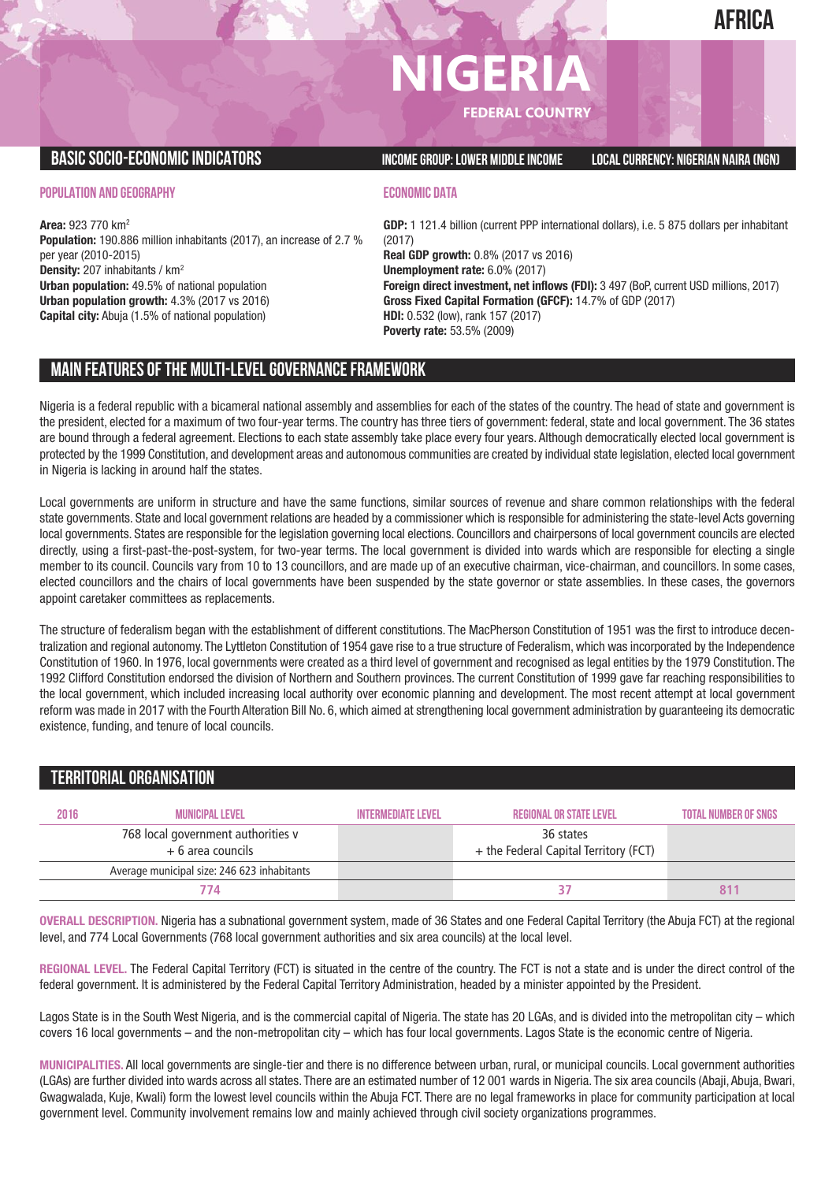# **NIGERIA FEDERAL COUNTRY**

**BASICSOCIO-ECONOMICINDICATORS INCOMEGROUP:LOWER MIDDLEINCOME LOCALCURRENCY: NIGERIAN NAIRA (NGN)**

**POPULATION AND GEOGRAPHY**

**Area:** 923 770 km2 **Population:** 190.886 million inhabitants (2017), an increase of 2.7 % per year (2010-2015) **Density:** 207 inhabitants / km2 **Urban population:** 49.5% of national population **Urban population growth:** 4.3% (2017 vs 2016) **Capital city:** Abuja (1.5% of national population)

### **ECONOMIC DATA**

**GDP:** 1 121.4 billion (current PPP international dollars), i.e. 5 875 dollars per inhabitant (2017) **Real GDP growth:** 0.8% (2017 vs 2016) **Unemployment rate:** 6.0% (2017) **Foreign direct investment, net inflows (FDI):** 3 497 (BoP, current USD millions, 2017) **Gross Fixed Capital Formation (GFCF):** 14.7% of GDP (2017) **HDI:** 0.532 (low), rank 157 (2017) **Poverty rate:** 53.5% (2009)

# **MAIN FEATURESOFTHE MULTI-LEVELGOVERNANCEFRAMEWORK**

Nigeria is a federal republic with a bicameral national assembly and assemblies for each of the states of the country. The head of state and government is the president, elected for a maximum of two four-year terms. The country has three tiers of government: federal, state and local government. The 36 states are bound through a federal agreement. Elections to each state assembly take place every four years. Although democratically elected local government is protected by the 1999 Constitution, and development areas and autonomous communities are created by individual state legislation, elected local government in Nigeria is lacking in around half the states.

Local governments are uniform in structure and have the same functions, similar sources of revenue and share common relationships with the federal state governments. State and local government relations are headed by a commissioner which is responsible for administering the state-level Acts governing local governments. States are responsible for the legislation governing local elections. Councillors and chairpersons of local government councils are elected directly, using a first-past-the-post-system, for two-year terms. The local government is divided into wards which are responsible for electing a single member to its council. Councils vary from 10 to 13 councillors, and are made up of an executive chairman, vice-chairman, and councillors. In some cases, elected councillors and the chairs of local governments have been suspended by the state governor or state assemblies. In these cases, the governors appoint caretaker committees as replacements.

The structure of federalism began with the establishment of different constitutions. The MacPherson Constitution of 1951 was the first to introduce decentralization and regional autonomy. The Lyttleton Constitution of 1954 gave rise to a true structure of Federalism, which was incorporated by the Independence Constitution of 1960. In 1976, local governments were created as a third level of government and recognised as legal entities by the 1979 Constitution. The 1992 Clifford Constitution endorsed the division of Northern and Southern provinces. The current Constitution of 1999 gave far reaching responsibilities to the local government, which included increasing local authority over economic planning and development. The most recent attempt at local government reform was made in 2017 with the Fourth Alteration Bill No. 6, which aimed at strengthening local government administration by guaranteeing its democratic existence, funding, and tenure of local councils.

# **TERRITORIALORGANISATION**

| 2016 | <b>MUNICIPAL LEVEL</b>                                   | <b>INTERMEDIATE LEVEL</b> | <b>REGIONAL OR STATE LEVEL</b>                     | <b>TOTAL NUMBER OF SNGS</b> |
|------|----------------------------------------------------------|---------------------------|----------------------------------------------------|-----------------------------|
|      | 768 local government authorities v<br>$+6$ area councils |                           | 36 states<br>+ the Federal Capital Territory (FCT) |                             |
|      | Average municipal size: 246 623 inhabitants              |                           |                                                    |                             |
|      | 774                                                      |                           |                                                    |                             |

**OVERALL DESCRIPTION.** Nigeria has a subnational government system, made of 36 States and one Federal Capital Territory (the Abuja FCT) at the regional level, and 774 Local Governments (768 local government authorities and six area councils) at the local level.

**REGIONAL LEVEL.** The Federal Capital Territory (FCT) is situated in the centre of the country. The FCT is not a state and is under the direct control of the federal government. It is administered by the Federal Capital Territory Administration, headed by a minister appointed by the President.

Lagos State is in the South West Nigeria, and is the commercial capital of Nigeria. The state has 20 LGAs, and is divided into the metropolitan city – which covers 16 local governments – and the non-metropolitan city – which has four local governments. Lagos State is the economic centre of Nigeria.

**MUNICIPALITIES.** All local governments are single-tier and there is no difference between urban, rural, or municipal councils. Local government authorities (LGAs) are further divided into wards across all states. There are an estimated number of 12 001 wards in Nigeria. The six area councils (Abaji, Abuja, Bwari, Gwagwalada, Kuje, Kwali) form the lowest level councils within the Abuja FCT. There are no legal frameworks in place for community participation at local government level. Community involvement remains low and mainly achieved through civil society organizations programmes.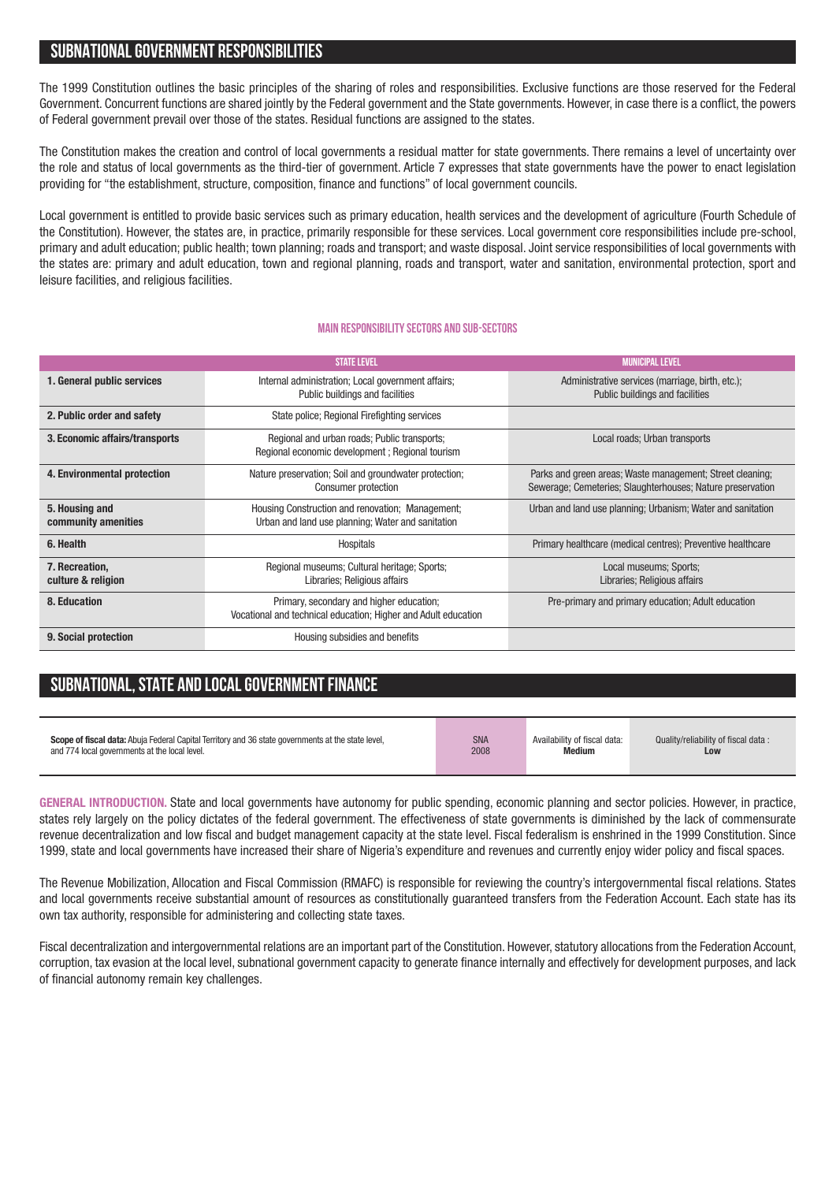## **SUBNATIONALGOVERNMENT RESPONSIBILITIES**

The 1999 Constitution outlines the basic principles of the sharing of roles and responsibilities. Exclusive functions are those reserved for the Federal Government. Concurrent functions are shared jointly by the Federal government and the State governments. However, in case there is a conflict, the powers of Federal government prevail over those of the states. Residual functions are assigned to the states.

The Constitution makes the creation and control of local governments a residual matter for state governments. There remains a level of uncertainty over the role and status of local governments as the third-tier of government. Article 7 expresses that state governments have the power to enact legislation providing for "the establishment, structure, composition, finance and functions" of local government councils.

Local government is entitled to provide basic services such as primary education, health services and the development of agriculture (Fourth Schedule of the Constitution). However, the states are, in practice, primarily responsible for these services. Local government core responsibilities include pre-school, primary and adult education; public health; town planning; roads and transport; and waste disposal. Joint service responsibilities of local governments with the states are: primary and adult education, town and regional planning, roads and transport, water and sanitation, environmental protection, sport and leisure facilities, and religious facilities.

#### **Main responsibilitysectors and sub-sectors**

|                                       | <b><i>STATE LEVEL</i></b>                                                                                  | <b>MUNICIPAL LEVEL</b>                                                                                                  |
|---------------------------------------|------------------------------------------------------------------------------------------------------------|-------------------------------------------------------------------------------------------------------------------------|
| 1. General public services            | Internal administration; Local government affairs;<br>Public buildings and facilities                      | Administrative services (marriage, birth, etc.);<br>Public buildings and facilities                                     |
| 2. Public order and safety            | State police; Regional Firefighting services                                                               |                                                                                                                         |
| 3. Economic affairs/transports        | Regional and urban roads; Public transports;<br>Regional economic development ; Regional tourism           | Local roads; Urban transports                                                                                           |
| 4. Environmental protection           | Nature preservation; Soil and groundwater protection;<br>Consumer protection                               | Parks and green areas; Waste management; Street cleaning;<br>Sewerage; Cemeteries; Slaughterhouses; Nature preservation |
| 5. Housing and<br>community amenities | Housing Construction and renovation; Management;<br>Urban and land use planning; Water and sanitation      | Urban and land use planning; Urbanism; Water and sanitation                                                             |
| 6. Health                             | Hospitals                                                                                                  | Primary healthcare (medical centres); Preventive healthcare                                                             |
| 7. Recreation,<br>culture & religion  | Regional museums; Cultural heritage; Sports;<br>Libraries; Religious affairs                               | Local museums; Sports;<br>Libraries; Religious affairs                                                                  |
| 8. Education                          | Primary, secondary and higher education;<br>Vocational and technical education; Higher and Adult education | Pre-primary and primary education; Adult education                                                                      |
| 9. Social protection                  | Housing subsidies and benefits                                                                             |                                                                                                                         |

# **SUBNATIONAL,STATE AND LOCALGOVERNMENTFINANCE**

| Scope of fiscal data: Abuja Federal Capital Territory and 36 state governments at the state level. | <b>SNA</b> | Availability of fiscal data: | Quality/reliability of fiscal data: |
|----------------------------------------------------------------------------------------------------|------------|------------------------------|-------------------------------------|
| and 774 local governments at the local level.                                                      | 2008       | <b>Medium</b>                | Low                                 |
|                                                                                                    |            |                              |                                     |

**GENERAL INTRODUCTION.** State and local governments have autonomy for public spending, economic planning and sector policies. However, in practice, states rely largely on the policy dictates of the federal government. The effectiveness of state governments is diminished by the lack of commensurate revenue decentralization and low fiscal and budget management capacity at the state level. Fiscal federalism is enshrined in the 1999 Constitution. Since 1999, state and local governments have increased their share of Nigeria's expenditure and revenues and currently enjoy wider policy and fiscal spaces.

The Revenue Mobilization, Allocation and Fiscal Commission (RMAFC) is responsible for reviewing the country's intergovernmental fiscal relations. States and local governments receive substantial amount of resources as constitutionally guaranteed transfers from the Federation Account. Each state has its own tax authority, responsible for administering and collecting state taxes.

Fiscal decentralization and intergovernmental relations are an important part of the Constitution. However, statutory allocations from the Federation Account. corruption, tax evasion at the local level, subnational government capacity to generate finance internally and effectively for development purposes, and lack of financial autonomy remain key challenges.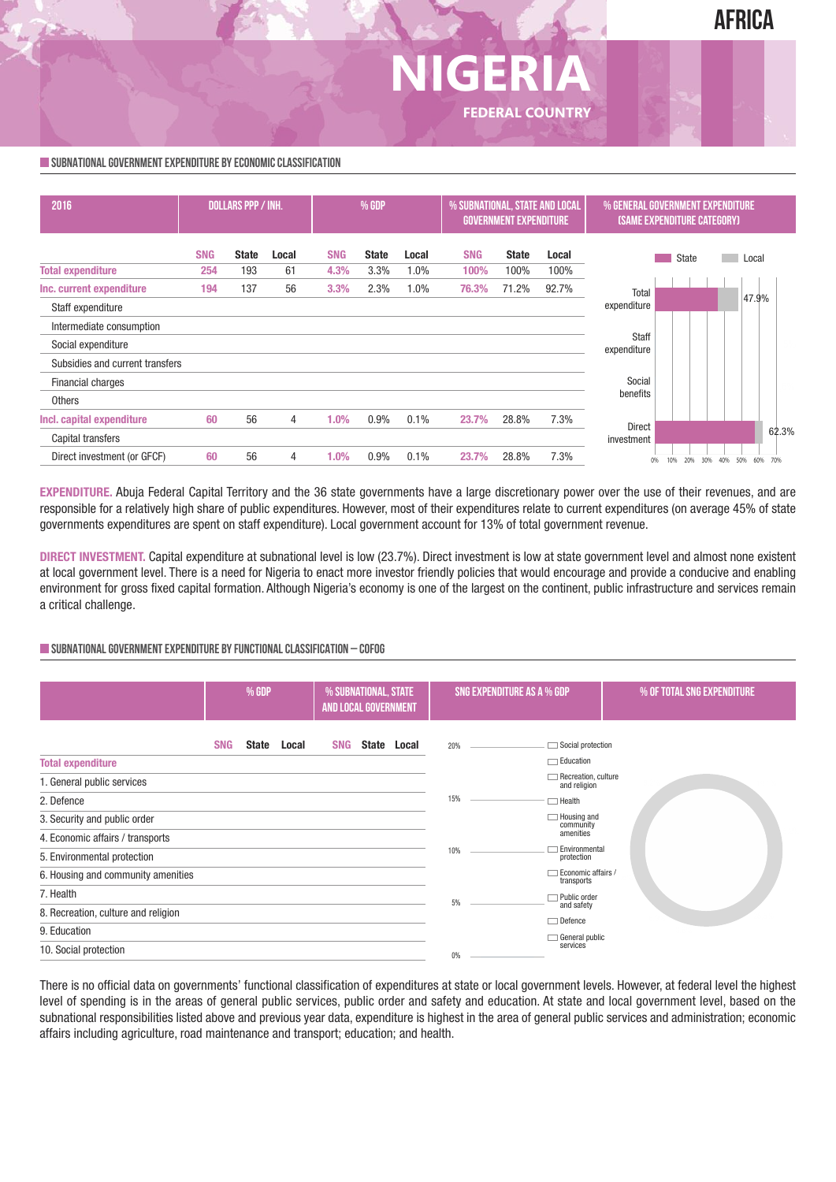

### **SUBNATIONALGOVERNMENTEXPENDITURE BYECONOMICCLASSIFICATION**



**NIGER** 

**FEDERAL COUNTRY**

**EXPENDITURE.** Abuja Federal Capital Territory and the 36 state governments have a large discretionary power over the use of their revenues, and are responsible for a relatively high share of public expenditures. However, most of their expenditures relate to current expenditures (on average 45% of state governments expenditures are spent on staff expenditure). Local government account for 13% of total government revenue.

**DIRECT INVESTMENT.** Capital expenditure at subnational level is low (23.7%). Direct investment is low at state government level and almost none existent at local government level. There is a need for Nigeria to enact more investor friendly policies that would encourage and provide a conducive and enabling environment for gross fixed capital formation. Although Nigeria's economy is one of the largest on the continent, public infrastructure and services remain a critical challenge.

#### **SUBNATIONALGOVERNMENTEXPENDITURE BYFUNCTIONALCLASSIFICATION – COFOG**

|                                     | % GDP      |              |       | % SUBNATIONAL, STATE<br>AND LOCAL GOVERNMENT |  | SNG EXPENDITURE AS A % GDP |     |                             | % OF TOTAL SNG EXPENDITURE            |  |
|-------------------------------------|------------|--------------|-------|----------------------------------------------|--|----------------------------|-----|-----------------------------|---------------------------------------|--|
| <b>Total expenditure</b>            | <b>SNG</b> | <b>State</b> | Local | <b>SNG</b>                                   |  | State Local                | 20% |                             | Social protection<br>$\Box$ Education |  |
| 1. General public services          |            |              |       |                                              |  |                            |     |                             | Recreation, culture<br>and religion   |  |
| 2. Defence                          |            |              |       |                                              |  | 15%                        |     | $\Box$ Health               |                                       |  |
| 3. Security and public order        |            |              |       |                                              |  |                            |     |                             | $\Box$ Housing and                    |  |
| 4. Economic affairs / transports    |            |              |       |                                              |  |                            |     |                             | community<br>amenities                |  |
| 5. Environmental protection         |            |              |       |                                              |  | 10%                        |     | Environmental<br>protection |                                       |  |
| 6. Housing and community amenities  |            |              |       |                                              |  |                            |     |                             | Economic affairs /<br>transports      |  |
| 7. Health                           |            |              |       |                                              |  |                            | 5%  |                             | Public order                          |  |
| 8. Recreation, culture and religion |            |              |       |                                              |  |                            |     |                             | and safety                            |  |
| 9. Education                        |            |              |       |                                              |  |                            |     |                             | $\Box$ Defence                        |  |
| 10. Social protection               |            |              |       |                                              |  |                            | 0%  |                             | General public<br>services            |  |

There is no official data on governments' functional classification of expenditures at state or local government levels. However, at federal level the highest level of spending is in the areas of general public services, public order and safety and education. At state and local government level, based on the subnational responsibilities listed above and previous year data, expenditure is highest in the area of general public services and administration; economic affairs including agriculture, road maintenance and transport; education; and health.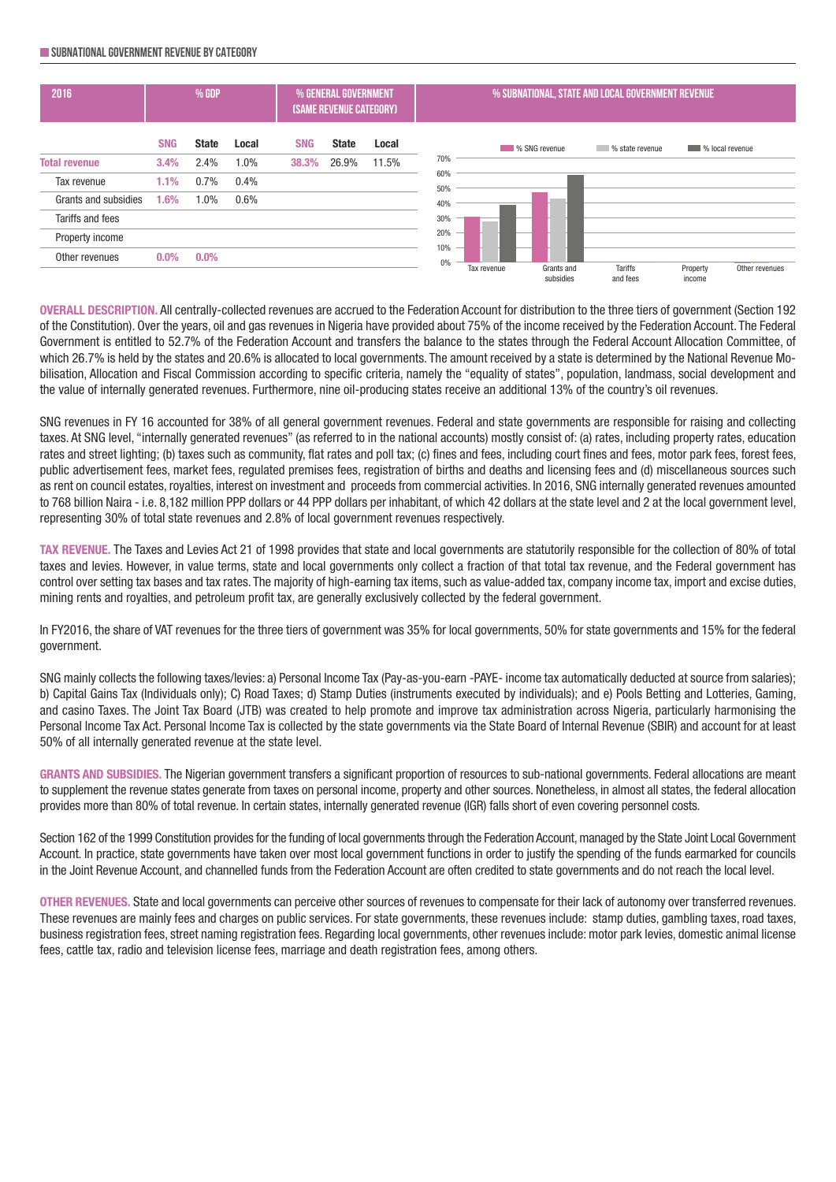#### **SUBNATIONALGOVERNMENT REVENUE BYCATEGORY**

| 2016                 | % GDP      |              |       | % GENERAL GOVERNMENT<br>(SAME REVENUE CATEGORY) |              |       | % SUBNATIONAL, STATE AND LOCAL GOVERNMENT REVENUE |             |                         |                                    |                        |                |  |
|----------------------|------------|--------------|-------|-------------------------------------------------|--------------|-------|---------------------------------------------------|-------------|-------------------------|------------------------------------|------------------------|----------------|--|
|                      | <b>SNG</b> | <b>State</b> | Local | <b>SNG</b>                                      | <b>State</b> | Local |                                                   |             | <b>WAS SNG revenue</b>  | % state revenue<br><b>Contract</b> | <b>W</b> local revenue |                |  |
| <b>Total revenue</b> | 3.4%       | 2.4%         | 1.0%  | 38.3%                                           | 26.9%        | 11.5% | 70%                                               |             |                         |                                    |                        |                |  |
| Tax revenue          | 1.1%       | 0.7%         | 0.4%  |                                                 |              |       | 60%<br>50%                                        |             |                         |                                    |                        |                |  |
| Grants and subsidies | 1.6%       | 1.0%         | 0.6%  |                                                 |              |       | 40%                                               |             |                         |                                    |                        |                |  |
| Tariffs and fees     |            |              |       |                                                 |              |       | 30%                                               |             |                         |                                    |                        |                |  |
| Property income      |            |              |       |                                                 |              |       | 20%                                               |             |                         |                                    |                        |                |  |
| Other revenues       | $0.0\%$    | $0.0\%$      |       |                                                 |              |       | 10%<br>0%                                         |             |                         |                                    |                        |                |  |
|                      |            |              |       |                                                 |              |       |                                                   | Tax revenue | Grants and<br>subsidies | Tariffs<br>and fees                | Property<br>income     | Other revenues |  |

**OVERALL DESCRIPTION.** All centrally-collected revenues are accrued to the Federation Account for distribution to the three tiers of government (Section 192 of the Constitution). Over the years, oil and gas revenues in Nigeria have provided about 75% of the income received by the Federation Account. The Federal Government is entitled to 52.7% of the Federation Account and transfers the balance to the states through the Federal Account Allocation Committee, of which 26.7% is held by the states and 20.6% is allocated to local governments. The amount received by a state is determined by the National Revenue Mobilisation, Allocation and Fiscal Commission according to specific criteria, namely the "equality of states", population, landmass, social development and the value of internally generated revenues. Furthermore, nine oil-producing states receive an additional 13% of the country's oil revenues.

SNG revenues in FY 16 accounted for 38% of all general government revenues. Federal and state governments are responsible for raising and collecting taxes. At SNG level, "internally generated revenues" (as referred to in the national accounts) mostly consist of: (a) rates, including property rates, education rates and street lighting; (b) taxes such as community, flat rates and poll tax; (c) fines and fees, including court fines and fees, motor park fees, forest fees, public advertisement fees, market fees, regulated premises fees, registration of births and deaths and licensing fees and (d) miscellaneous sources such as rent on council estates, royalties, interest on investment and proceeds from commercial activities. In 2016, SNG internally generated revenues amounted to 768 billion Naira - i.e. 8,182 million PPP dollars or 44 PPP dollars per inhabitant, of which 42 dollars at the state level and 2 at the local government level, representing 30% of total state revenues and 2.8% of local government revenues respectively.

**TAX REVENUE.** The Taxes and Levies Act 21 of 1998 provides that state and local governments are statutorily responsible for the collection of 80% of total taxes and levies. However, in value terms, state and local governments only collect a fraction of that total tax revenue, and the Federal government has control over setting tax bases and tax rates. The majority of high-earning tax items, such as value-added tax, company income tax, import and excise duties, mining rents and royalties, and petroleum profit tax, are generally exclusively collected by the federal government.

In FY2016, the share of VAT revenues for the three tiers of government was 35% for local governments, 50% for state governments and 15% for the federal government.

SNG mainly collects the following taxes/levies: a) Personal Income Tax (Pay-as-you-earn -PAYE- income tax automatically deducted at source from salaries); b) Capital Gains Tax (Individuals only); C) Road Taxes; d) Stamp Duties (instruments executed by individuals); and e) Pools Betting and Lotteries, Gaming, and casino Taxes. The Joint Tax Board (JTB) was created to help promote and improve tax administration across Nigeria, particularly harmonising the Personal Income Tax Act. Personal Income Tax is collected by the state governments via the State Board of Internal Revenue (SBIR) and account for at least 50% of all internally generated revenue at the state level.

**GRANTS AND SUBSIDIES.** The Nigerian government transfers a significant proportion of resources to sub-national governments. Federal allocations are meant to supplement the revenue states generate from taxes on personal income, property and other sources. Nonetheless, in almost all states, the federal allocation provides more than 80% of total revenue. In certain states, internally generated revenue (IGR) falls short of even covering personnel costs.

Section 162 of the 1999 Constitution provides for the funding of local governments through the Federation Account, managed by the State Joint Local Government Account. In practice, state governments have taken over most local government functions in order to justify the spending of the funds earmarked for councils in the Joint Revenue Account, and channelled funds from the Federation Account are often credited to state governments and do not reach the local level.

**OTHER REVENUES.** State and local governments can perceive other sources of revenues to compensate for their lack of autonomy over transferred revenues. These revenues are mainly fees and charges on public services. For state governments, these revenues include: stamp duties, gambling taxes, road taxes, business registration fees, street naming registration fees. Regarding local governments, other revenues include: motor park levies, domestic animal license fees, cattle tax, radio and television license fees, marriage and death registration fees, among others.